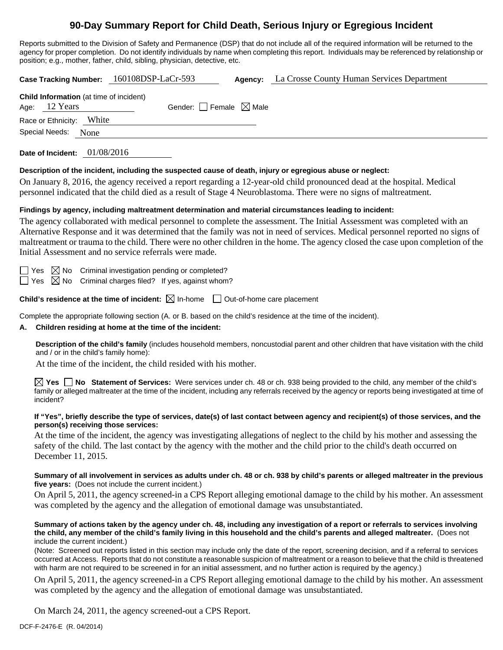## **90-Day Summary Report for Child Death, Serious Injury or Egregious Incident**

Reports submitted to the Division of Safety and Permanence (DSP) that do not include all of the required information will be returned to the agency for proper completion. Do not identify individuals by name when completing this report. Individuals may be referenced by relationship or position; e.g., mother, father, child, sibling, physician, detective, etc.

**Case Tracking Number:** 160108DSP-LaCr-593 **Agency:** La Crosse County Human Services Department **Child Information** (at time of incident) Age:  $12$  Years Gender: Female  $\boxtimes$  Male Race or Ethnicity: White Special Needs: None **Date of Incident:** 01/08/2016

**Description of the incident, including the suspected cause of death, injury or egregious abuse or neglect:** 

On January 8, 2016, the agency received a report regarding a 12-year-old child pronounced dead at the hospital. Medical personnel indicated that the child died as a result of Stage 4 Neuroblastoma. There were no signs of maltreatment.

#### **Findings by agency, including maltreatment determination and material circumstances leading to incident:**

The agency collaborated with medical personnel to complete the assessment. The Initial Assessment was completed with an Alternative Response and it was determined that the family was not in need of services. Medical personnel reported no signs of maltreatment or trauma to the child. There were no other children in the home. The agency closed the case upon completion of the Initial Assessment and no service referrals were made.

 $\Box$  Yes  $\boxtimes$  No Criminal investigation pending or completed?

 $\Box$  Yes  $\boxtimes$  No Criminal charges filed? If yes, against whom?

**Child's residence at the time of incident:**  $\boxtimes$  In-home  $\Box$  Out-of-home care placement

Complete the appropriate following section (A. or B. based on the child's residence at the time of the incident).

#### **A. Children residing at home at the time of the incident:**

**Description of the child's family** (includes household members, noncustodial parent and other children that have visitation with the child and / or in the child's family home):

At the time of the incident, the child resided with his mother.

**Yes No Statement of Services:** Were services under ch. 48 or ch. 938 being provided to the child, any member of the child's family or alleged maltreater at the time of the incident, including any referrals received by the agency or reports being investigated at time of incident?

#### **If "Yes", briefly describe the type of services, date(s) of last contact between agency and recipient(s) of those services, and the person(s) receiving those services:**

At the time of the incident, the agency was investigating allegations of neglect to the child by his mother and assessing the safety of the child. The last contact by the agency with the mother and the child prior to the child's death occurred on December 11, 2015.

#### **Summary of all involvement in services as adults under ch. 48 or ch. 938 by child's parents or alleged maltreater in the previous five years:** (Does not include the current incident.)

On April 5, 2011, the agency screened-in a CPS Report alleging emotional damage to the child by his mother. An assessment was completed by the agency and the allegation of emotional damage was unsubstantiated.

#### **Summary of actions taken by the agency under ch. 48, including any investigation of a report or referrals to services involving the child, any member of the child's family living in this household and the child's parents and alleged maltreater.** (Does not include the current incident.)

(Note: Screened out reports listed in this section may include only the date of the report, screening decision, and if a referral to services occurred at Access. Reports that do not constitute a reasonable suspicion of maltreatment or a reason to believe that the child is threatened with harm are not required to be screened in for an initial assessment, and no further action is required by the agency.)

On April 5, 2011, the agency screened-in a CPS Report alleging emotional damage to the child by his mother. An assessment was completed by the agency and the allegation of emotional damage was unsubstantiated.

On March 24, 2011, the agency screened-out a CPS Report.